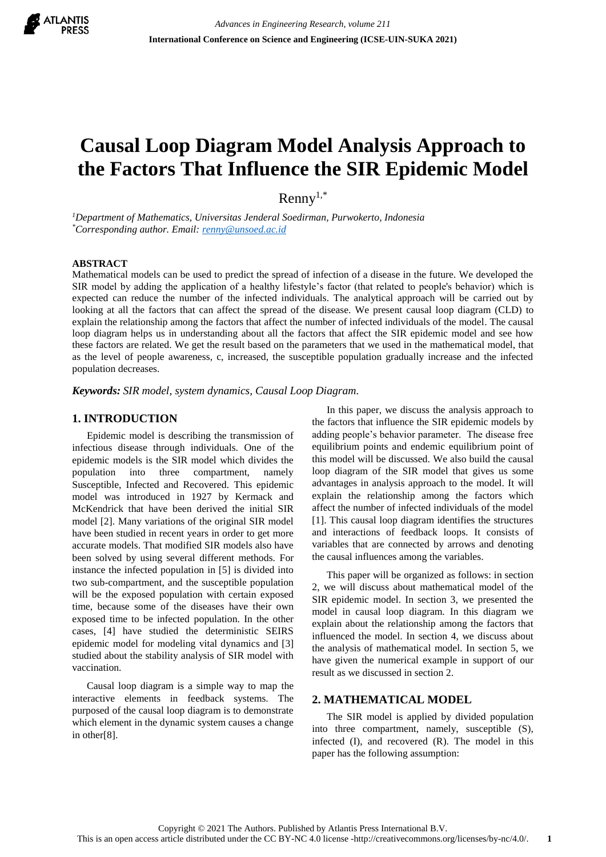

# **Causal Loop Diagram Model Analysis Approach to the Factors That Influence the SIR Epidemic Model**

 $\mathrm{Rennv}^{1,*}$ 

*<sup>1</sup>Department of Mathematics, Universitas Jenderal Soedirman, Purwokerto, Indonesia \*Corresponding author. Email[: renny@unsoed.ac.id](mailto:renny@unsoed.ac.id)*

#### **ABSTRACT**

Mathematical models can be used to predict the spread of infection of a disease in the future. We developed the SIR model by adding the application of a healthy lifestyle's factor (that related to people's behavior) which is expected can reduce the number of the infected individuals. The analytical approach will be carried out by looking at all the factors that can affect the spread of the disease. We present causal loop diagram (CLD) to explain the relationship among the factors that affect the number of infected individuals of the model. The causal loop diagram helps us in understanding about all the factors that affect the SIR epidemic model and see how these factors are related. We get the result based on the parameters that we used in the mathematical model, that as the level of people awareness, c, increased, the susceptible population gradually increase and the infected population decreases.

*Keywords: SIR model, system dynamics, Causal Loop Diagram.*

## **1. INTRODUCTION**

Epidemic model is describing the transmission of infectious disease through individuals. One of the epidemic models is the SIR model which divides the population into three compartment, namely Susceptible, Infected and Recovered. This epidemic model was introduced in 1927 by Kermack and McKendrick that have been derived the initial SIR model [2]. Many variations of the original SIR model have been studied in recent years in order to get more accurate models. That modified SIR models also have been solved by using several different methods. For instance the infected population in [5] is divided into two sub-compartment, and the susceptible population will be the exposed population with certain exposed time, because some of the diseases have their own exposed time to be infected population. In the other cases, [4] have studied the deterministic SEIRS epidemic model for modeling vital dynamics and [3] studied about the stability analysis of SIR model with vaccination.

Causal loop diagram is a simple way to map the interactive elements in feedback systems. The purposed of the causal loop diagram is to demonstrate which element in the dynamic system causes a change in other[8].

In this paper, we discuss the analysis approach to the factors that influence the SIR epidemic models by adding people's behavior parameter. The disease free equilibrium points and endemic equilibrium point of this model will be discussed. We also build the causal loop diagram of the SIR model that gives us some advantages in analysis approach to the model. It will explain the relationship among the factors which affect the number of infected individuals of the model [1]. This causal loop diagram identifies the structures and interactions of feedback loops. It consists of variables that are connected by arrows and denoting the causal influences among the variables.

This paper will be organized as follows: in section 2, we will discuss about mathematical model of the SIR epidemic model. In section 3, we presented the model in causal loop diagram. In this diagram we explain about the relationship among the factors that influenced the model. In section 4, we discuss about the analysis of mathematical model. In section 5, we have given the numerical example in support of our result as we discussed in section 2.

### **2. MATHEMATICAL MODEL**

The SIR model is applied by divided population into three compartment, namely, susceptible (S), infected (I), and recovered (R). The model in this paper has the following assumption: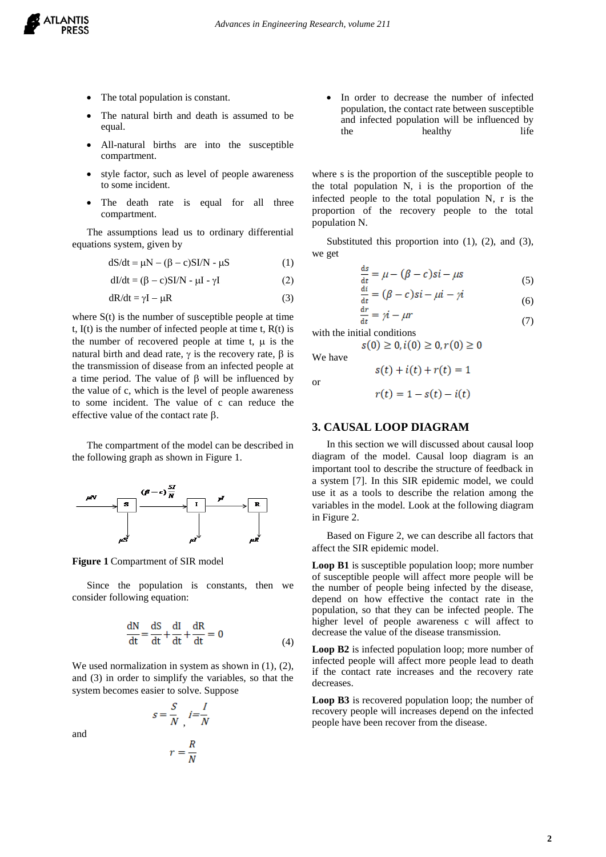

- The total population is constant.
- The natural birth and death is assumed to be equal.
- All-natural births are into the susceptible compartment.
- style factor, such as level of people awareness to some incident.
- The death rate is equal for all three compartment.

The assumptions lead us to ordinary differential equations system, given by

$$
dS/dt = \mu N - (\beta - c)SI/N - \mu S \tag{1}
$$

$$
dI/dt = (\beta - c)SI/N - \mu I - \gamma I
$$
 (2)

 $dR/dt = vI - uR$  (3)

where  $S(t)$  is the number of susceptible people at time t,  $I(t)$  is the number of infected people at time t,  $R(t)$  is the number of recovered people at time t,  $\mu$  is the natural birth and dead rate,  $\gamma$  is the recovery rate,  $\beta$  is the transmission of disease from an infected people at a time period. The value of  $\beta$  will be influenced by the value of c, which is the level of people awareness to some incident. The value of c can reduce the effective value of the contact rate  $\beta$ .

The compartment of the model can be described in the following graph as shown in Figure 1.



**Figure 1** Compartment of SIR model

Since the population is constants, then we consider following equation:

$$
\frac{dN}{dt} = \frac{dS}{dt} + \frac{dI}{dt} + \frac{dR}{dt} = 0
$$
\n(4)

We used normalization in system as shown in  $(1)$ ,  $(2)$ , and (3) in order to simplify the variables, so that the system becomes easier to solve. Suppose

$$
s = \frac{S}{N}, \quad i = \frac{I}{N}
$$

$$
r = \frac{R}{N}
$$

• In order to decrease the number of infected population, the contact rate between susceptible and infected population will be influenced by the healthy life

where s is the proportion of the susceptible people to the total population N, i is the proportion of the infected people to the total population N, r is the proportion of the recovery people to the total population N.

Substituted this proportion into (1), (2), and (3), we get

$$
\frac{ds}{dt} = \mu - (\beta - c)si - \mu s \tag{5}
$$

$$
\frac{di}{dt} = (\beta - c)si - \mu i - \gamma i \tag{6}
$$

$$
\frac{\mathrm{d}r}{\mathrm{d}t} = \gamma \dot{t} - \mu r \tag{7}
$$

with the initial conditions

$$
s(0) \ge 0, i(0) \ge 0, r(0) \ge 0
$$
  
We have

or

 $s(t) + i(t) + r(t) = 1$  $r(t) = 1 - s(t) - i(t)$ 

#### **3. CAUSAL LOOP DIAGRAM**

In this section we will discussed about causal loop diagram of the model. Causal loop diagram is an important tool to describe the structure of feedback in a system [7]. In this SIR epidemic model, we could use it as a tools to describe the relation among the variables in the model. Look at the following diagram in Figure 2.

Based on Figure 2, we can describe all factors that affect the SIR epidemic model.

**Loop B1** is susceptible population loop; more number of susceptible people will affect more people will be the number of people being infected by the disease, depend on how effective the contact rate in the population, so that they can be infected people. The higher level of people awareness c will affect to decrease the value of the disease transmission.

**Loop B2** is infected population loop; more number of infected people will affect more people lead to death if the contact rate increases and the recovery rate decreases.

**Loop B3** is recovered population loop; the number of recovery people will increases depend on the infected people have been recover from the disease.

**2**

and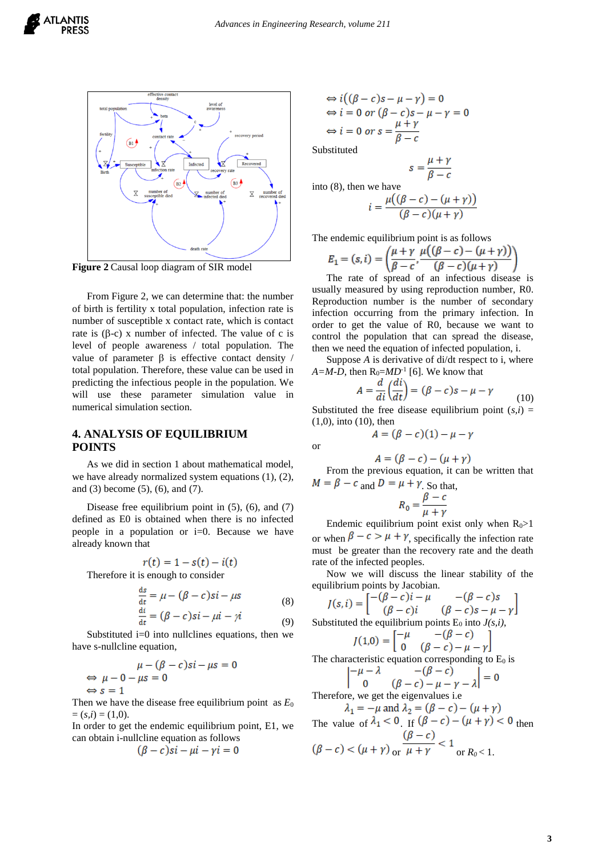

**Figure 2** Causal loop diagram of SIR model

From Figure 2, we can determine that: the number of birth is fertility x total population, infection rate is number of susceptible x contact rate, which is contact rate is  $(\beta-c)$  x number of infected. The value of c is level of people awareness / total population. The value of parameter  $\beta$  is effective contact density / total population. Therefore, these value can be used in predicting the infectious people in the population. We will use these parameter simulation value in numerical simulation section.

#### **4. ANALYSIS OF EQUILIBRIUM POINTS**

As we did in section 1 about mathematical model, we have already normalized system equations (1), (2), and (3) become (5), (6), and (7).

Disease free equilibrium point in  $(5)$ ,  $(6)$ , and  $(7)$ defined as E0 is obtained when there is no infected people in a population or i=0. Because we have already known that

$$
r(t) = 1 - s(t) - i(t)
$$

Therefore it is enough to consider

$$
\frac{ds}{dt} = \mu - (\beta - c)si - \mu s \tag{8}
$$

$$
\frac{dt}{dt} = (\beta - c)si - \mu i - \gamma i \tag{9}
$$

Substituted  $i=0$  into nullclines equations, then we have s-nullcline equation,

$$
\mu - (\beta - c)si - \mu s = 0
$$
  
\n
$$
\Leftrightarrow \mu - 0 - \mu s = 0
$$
  
\n
$$
\Leftrightarrow s = 1
$$

 $\leftarrow$ 

Then we have the disease free equilibrium point as *E*<sup>0</sup>  $=(s,i) = (1,0).$ 

In order to get the endemic equilibrium point, E1, we can obtain i-nullcline equation as follows

$$
(\beta - c)si - \mu i - \gamma i = 0
$$

$$
\Leftrightarrow i((\beta - c)s - \mu - \gamma) = 0
$$
  
\n
$$
\Leftrightarrow i = 0 \text{ or } (\beta - c)s - \mu - \gamma = 0
$$
  
\n
$$
\Leftrightarrow i = 0 \text{ or } s = \frac{\mu + \gamma}{\beta - c}
$$

Substituted

$$
s = \frac{\mu}{\beta - 1}
$$

into (8), then we have

$$
=\frac{\mu((\beta-c)-(\mu+\gamma))}{(\beta-c)(\mu+\gamma)}
$$

The endemic equilibrium point is as follows

$$
E_1 = (s, i) = \left(\frac{\mu + \gamma}{\beta - c}, \frac{\mu((\beta - c) - (\mu + \gamma))}{(\beta - c)(\mu + \gamma)}\right)
$$

The rate of spread of an infectious disease is usually measured by using reproduction number, R0. Reproduction number is the number of secondary infection occurring from the primary infection. In order to get the value of R0, because we want to control the population that can spread the disease, then we need the equation of infected population, i.

Suppose *A* is derivative of di/dt respect to i, where  $A = M-D$ , then  $R_0 = MD^{-1}$  [6]. We know that

$$
A = \frac{d}{di} \left( \frac{di}{dt} \right) = (\beta - c)s - \mu - \gamma \tag{10}
$$

Substituted the free disease equilibrium point  $(s,i)$  = (1,0), into (10), then

$$
A = (\beta - c)(1) - \mu - \gamma
$$

or

$$
A = (\beta - c) - (\mu + \gamma)
$$

From the previous equation, it can be written that  $M = \beta - c$  and  $D = \mu + \gamma$ . So that,

$$
R_0 = \frac{\beta - c}{\mu + \gamma}
$$

Endemic equilibrium point exist only when  $R_0$ >1 or when  $\beta - c > \mu + \gamma$ , specifically the infection rate must be greater than the recovery rate and the death rate of the infected peoples.

Now we will discuss the linear stability of the equilibrium points by Jacobian.

$$
J(s, i) = \begin{bmatrix} -(\beta - c)i - \mu & -( \beta - c)s \\ (\beta - c)i & (\beta - c)s - \mu - \gamma \end{bmatrix}
$$
  
Substituted the equilibrium points E<sub>0</sub> into J(s, i),  

$$
J(1,0) = \begin{bmatrix} -\mu & -(\beta - c) \\ 0 & (\beta - c) - \mu - \gamma \end{bmatrix}
$$
  
The characteristic equation corresponding to E<sub>0</sub> is  

$$
\begin{vmatrix} -\mu - \lambda & -(\beta - c) \\ 0 & (\beta - c) - \mu - \gamma - \lambda \end{vmatrix} = 0
$$

Therefore, we get the eigenvalues i.e

The value of  $\lambda_1 < 0$  If  $(\beta - c) - (\mu + \gamma) < 0$  then or  $\mu + \gamma$  or  $R_0 < 1$ .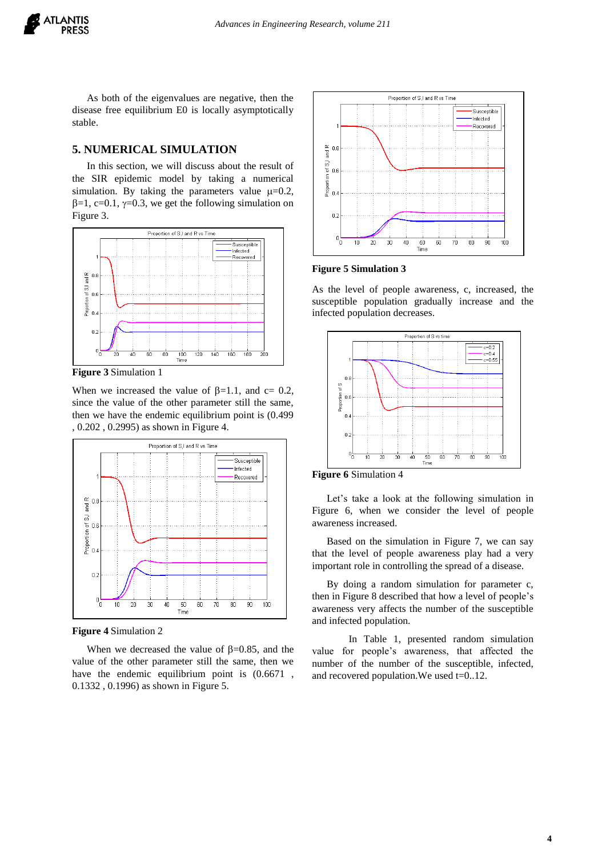As both of the eigenvalues are negative, then the disease free equilibrium E0 is locally asymptotically stable.

#### **5. NUMERICAL SIMULATION**

In this section, we will discuss about the result of the SIR epidemic model by taking a numerical simulation. By taking the parameters value  $\mu$ =0.2,  $\beta=1$ , c=0.1,  $\gamma=0.3$ , we get the following simulation on Figure 3.



**Figure 3** Simulation 1

When we increased the value of  $\beta$ =1.1, and c= 0.2, since the value of the other parameter still the same, then we have the endemic equilibrium point is (0.499 , 0.202 , 0.2995) as shown in Figure 4.



**Figure 4** Simulation 2

When we decreased the value of  $\beta$ =0.85, and the value of the other parameter still the same, then we have the endemic equilibrium point is  $(0.6671)$ , 0.1332 , 0.1996) as shown in Figure 5.



**Figure 5 Simulation 3**

As the level of people awareness, c, increased, the susceptible population gradually increase and the infected population decreases.



**Figure 6** Simulation 4

Let's take a look at the following simulation in Figure 6, when we consider the level of people awareness increased.

Based on the simulation in Figure 7, we can say that the level of people awareness play had a very important role in controlling the spread of a disease.

By doing a random simulation for parameter c, then in Figure 8 described that how a level of people's awareness very affects the number of the susceptible and infected population.

In Table 1, presented random simulation value for people's awareness, that affected the number of the number of the susceptible, infected, and recovered population.We used t=0..12.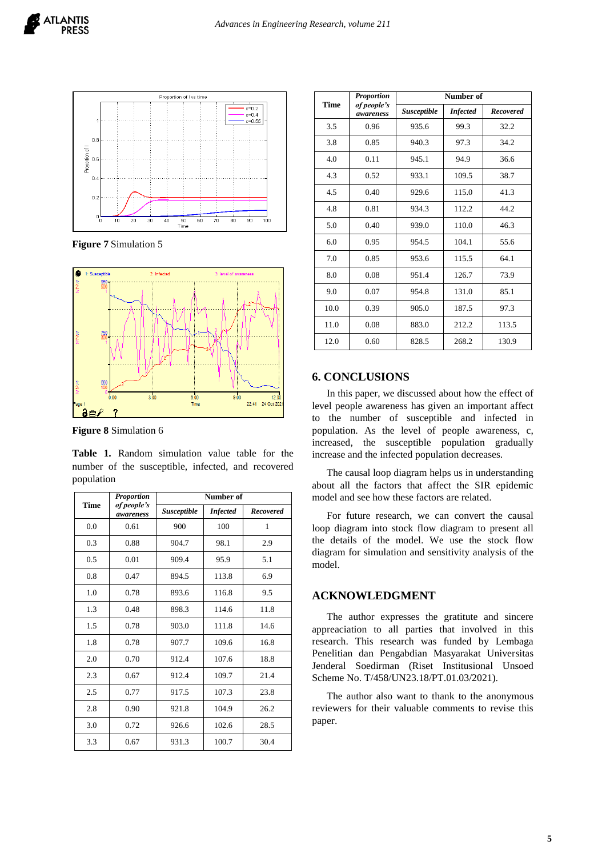

**Figure 7** Simulation 5



**Figure 8** Simulation 6

**Table 1.** Random simulation value table for the number of the susceptible, infected, and recovered population

| <b>Time</b> | Proportion<br>of people's<br>awareness | Number of          |                 |                  |
|-------------|----------------------------------------|--------------------|-----------------|------------------|
|             |                                        | <b>Susceptible</b> | <b>Infected</b> | <b>Recovered</b> |
| 0.0         | 0.61                                   | 900                | 100             | 1                |
| 0.3         | 0.88                                   | 904.7              | 98.1            | 2.9              |
| 0.5         | 0.01                                   | 909.4              | 95.9            | 5.1              |
| 0.8         | 0.47                                   | 894.5              | 113.8           | 6.9              |
| 1.0         | 0.78                                   | 893.6              | 116.8           | 9.5              |
| 1.3         | 0.48                                   | 898.3              | 114.6           | 11.8             |
| 1.5         | 0.78                                   | 903.0              | 111.8           | 14.6             |
| 1.8         | 0.78                                   | 907.7              | 109.6           | 16.8             |
| 2.0         | 0.70                                   | 912.4              | 107.6           | 18.8             |
| 2.3         | 0.67                                   | 912.4              | 109.7           | 21.4             |
| 2.5         | 0.77                                   | 917.5              | 107.3           | 23.8             |
| 2.8         | 0.90                                   | 921.8              | 104.9           | 26.2             |
| 3.0         | 0.72                                   | 926.6              | 102.6           | 28.5             |
| 3.3         | 0.67                                   | 931.3              | 100.7           | 30.4             |

| <b>Time</b> | Proportion<br>of people's<br>awareness | Number of          |                 |                  |
|-------------|----------------------------------------|--------------------|-----------------|------------------|
|             |                                        | <b>Susceptible</b> | <b>Infected</b> | <b>Recovered</b> |
| 3.5         | 0.96                                   | 935.6              | 99.3            | 32.2             |
| 3.8         | 0.85                                   | 940.3              | 97.3            | 34.2             |
| 4.0         | 0.11                                   | 945.1              | 94.9            | 36.6             |
| 4.3         | 0.52                                   | 933.1              | 109.5           | 38.7             |
| 4.5         | 0.40                                   | 929.6              | 115.0           | 41.3             |
| 4.8         | 0.81                                   | 934.3              | 112.2           | 44.2             |
| 5.0         | 0.40                                   | 939.0              | 110.0           | 46.3             |
| 6.0         | 0.95                                   | 954.5              | 104.1           | 55.6             |
| 7.0         | 0.85                                   | 953.6              | 115.5           | 64.1             |
| 8.0         | 0.08                                   | 951.4              | 126.7           | 73.9             |
| 9.0         | 0.07                                   | 954.8              | 131.0           | 85.1             |
| 10.0        | 0.39                                   | 905.0              | 187.5           | 97.3             |
| 11.0        | 0.08                                   | 883.0              | 212.2           | 113.5            |
| 12.0        | 0.60                                   | 828.5              | 268.2           | 130.9            |

## **6. CONCLUSIONS**

In this paper, we discussed about how the effect of level people awareness has given an important affect to the number of susceptible and infected in population. As the level of people awareness, c, increased, the susceptible population gradually increase and the infected population decreases.

The causal loop diagram helps us in understanding about all the factors that affect the SIR epidemic model and see how these factors are related.

For future research, we can convert the causal loop diagram into stock flow diagram to present all the details of the model. We use the stock flow diagram for simulation and sensitivity analysis of the model.

## **ACKNOWLEDGMENT**

The author expresses the gratitute and sincere appreaciation to all parties that involved in this research. This research was funded by Lembaga Penelitian dan Pengabdian Masyarakat Universitas Jenderal Soedirman (Riset Institusional Unsoed Scheme No. T/458/UN23.18/PT.01.03/2021).

The author also want to thank to the anonymous reviewers for their valuable comments to revise this paper.